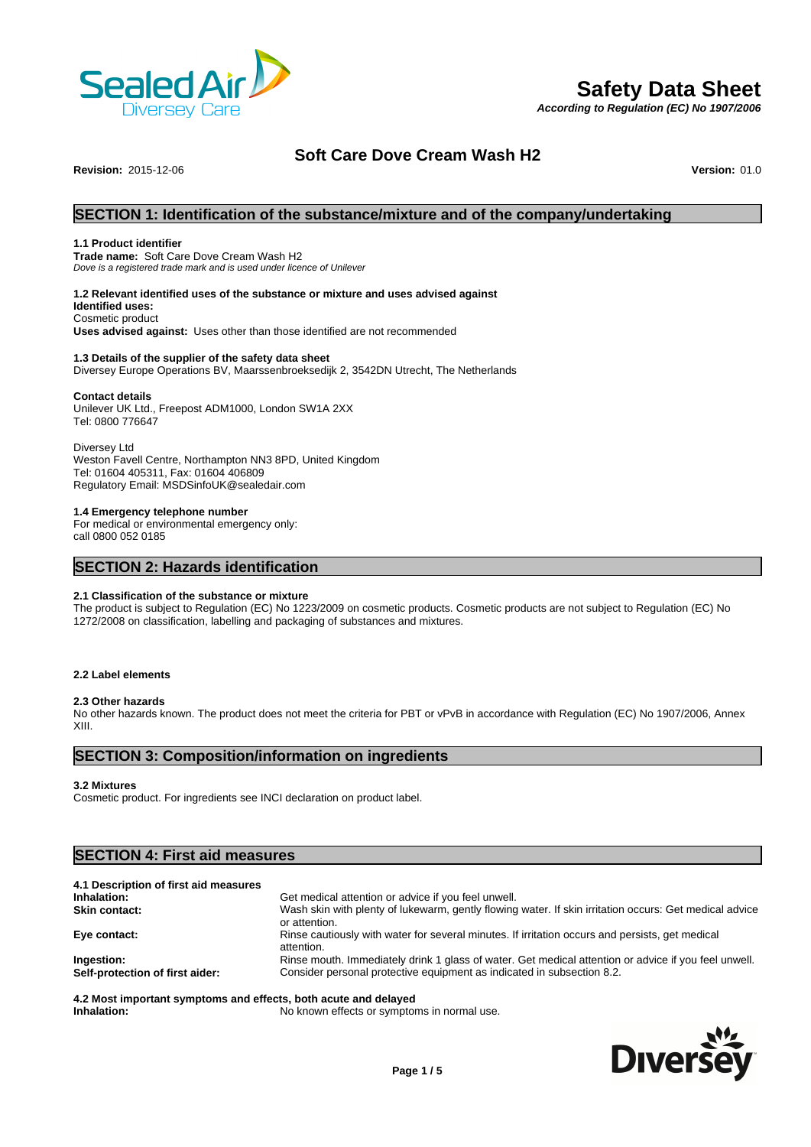

# **Safety Data Sheet**

*According to Regulation (EC) No 1907/2006*

# **Soft Care Dove Cream Wash H2**

**Revision:** 2015-12-06 **Version:** 01.0

# **SECTION 1: Identification of the substance/mixture and of the company/undertaking**

#### **1.1 Product identifier**

**Trade name:** Soft Care Dove Cream Wash H2 *Dove is a registered trade mark and is used under licence of Unilever*

#### **1.2 Relevant identified uses of the substance or mixture and uses advised against**

**Identified uses:** Cosmetic product

**Uses advised against:** Uses other than those identified are not recommended

#### **1.3 Details of the supplier of the safety data sheet**

Diversey Europe Operations BV, Maarssenbroeksedijk 2, 3542DN Utrecht, The Netherlands

#### **Contact details**

Unilever UK Ltd., Freepost ADM1000, London SW1A 2XX Tel: 0800 776647

Diversey Ltd Weston Favell Centre, Northampton NN3 8PD, United Kingdom Tel: 01604 405311, Fax: 01604 406809 Regulatory Email: MSDSinfoUK@sealedair.com

#### **1.4 Emergency telephone number**

For medical or environmental emergency only: call 0800 052 0185

# **SECTION 2: Hazards identification**

#### **2.1 Classification of the substance or mixture**

The product is subject to Regulation (EC) No 1223/2009 on cosmetic products. Cosmetic products are not subject to Regulation (EC) No 1272/2008 on classification, labelling and packaging of substances and mixtures.

#### **2.2 Label elements**

#### **2.3 Other hazards**

No other hazards known. The product does not meet the criteria for PBT or vPvB in accordance with Regulation (EC) No 1907/2006, Annex XIII.

# **SECTION 3: Composition/information on ingredients**

**3.2 Mixtures**

Cosmetic product. For ingredients see INCI declaration on product label.

# **SECTION 4: First aid measures 4.1 Description of first aid measures Inhalation:** Get medical attention or advice if you feel unwell. **Skin contact:** Wash skin with plenty of lukewarm, gently flowing water. If skin irritation occurs: Get medical advice or attention. **Eye contact:** Rinse cautiously with water for several minutes. If irritation occurs and persists, get medical attention.

**Ingestion:** Rinse mouth. Immediately drink 1 glass of water. Get medical attention or advice if you feel unwell. **Self-protection of first aider:** Consider personal protective equipment as indicated in subsection 8.2.

**4.2 Most important symptoms and effects, both acute and delayed Inhalation:** No known effects or symptoms in normal use.

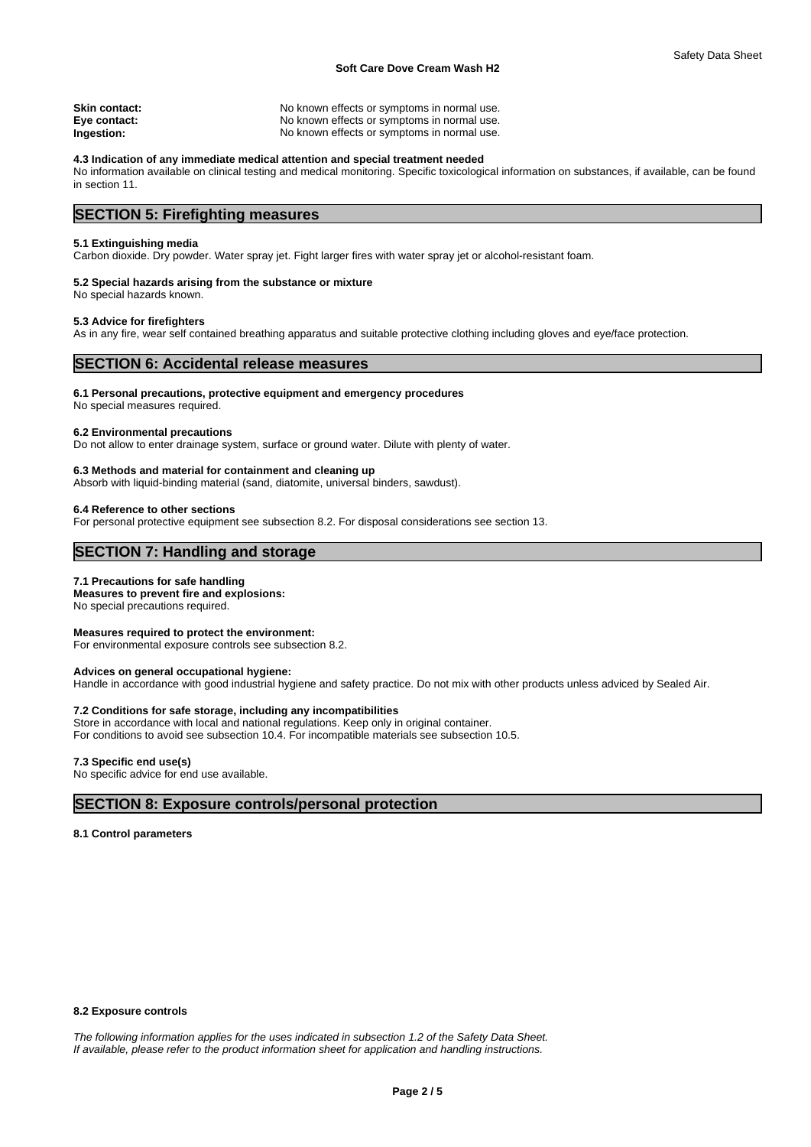| Skin contact: | No known effects or symptoms in normal use. |
|---------------|---------------------------------------------|
| Eye contact:  | No known effects or symptoms in normal use. |
| Ingestion:    | No known effects or symptoms in normal use. |

#### **4.3 Indication of any immediate medical attention and special treatment needed**

No information available on clinical testing and medical monitoring. Specific toxicological information on substances, if available, can be found in section 11.

# **SECTION 5: Firefighting measures**

#### **5.1 Extinguishing media**

Carbon dioxide. Dry powder. Water spray jet. Fight larger fires with water spray jet or alcohol-resistant foam.

#### **5.2 Special hazards arising from the substance or mixture**

No special hazards known.

#### **5.3 Advice for firefighters**

As in any fire, wear self contained breathing apparatus and suitable protective clothing including gloves and eye/face protection.

# **SECTION 6: Accidental release measures**

#### **6.1 Personal precautions, protective equipment and emergency procedures**

No special measures required.

#### **6.2 Environmental precautions**

Do not allow to enter drainage system, surface or ground water. Dilute with plenty of water.

#### **6.3 Methods and material for containment and cleaning up**

Absorb with liquid-binding material (sand, diatomite, universal binders, sawdust).

#### **6.4 Reference to other sections**

For personal protective equipment see subsection 8.2. For disposal considerations see section 13.

# **SECTION 7: Handling and storage**

#### **7.1 Precautions for safe handling**

**Measures to prevent fire and explosions:** No special precautions required.

**Measures required to protect the environment:** For environmental exposure controls see subsection 8.2.

# **Advices on general occupational hygiene:**

Handle in accordance with good industrial hygiene and safety practice. Do not mix with other products unless adviced by Sealed Air.

#### **7.2 Conditions for safe storage, including any incompatibilities**

Store in accordance with local and national regulations. Keep only in original container. For conditions to avoid see subsection 10.4. For incompatible materials see subsection 10.5.

#### **7.3 Specific end use(s)**

No specific advice for end use available.

# **SECTION 8: Exposure controls/personal protection**

#### **8.1 Control parameters**

#### **8.2 Exposure controls**

*The following information applies for the uses indicated in subsection 1.2 of the Safety Data Sheet. If available, please refer to the product information sheet for application and handling instructions.*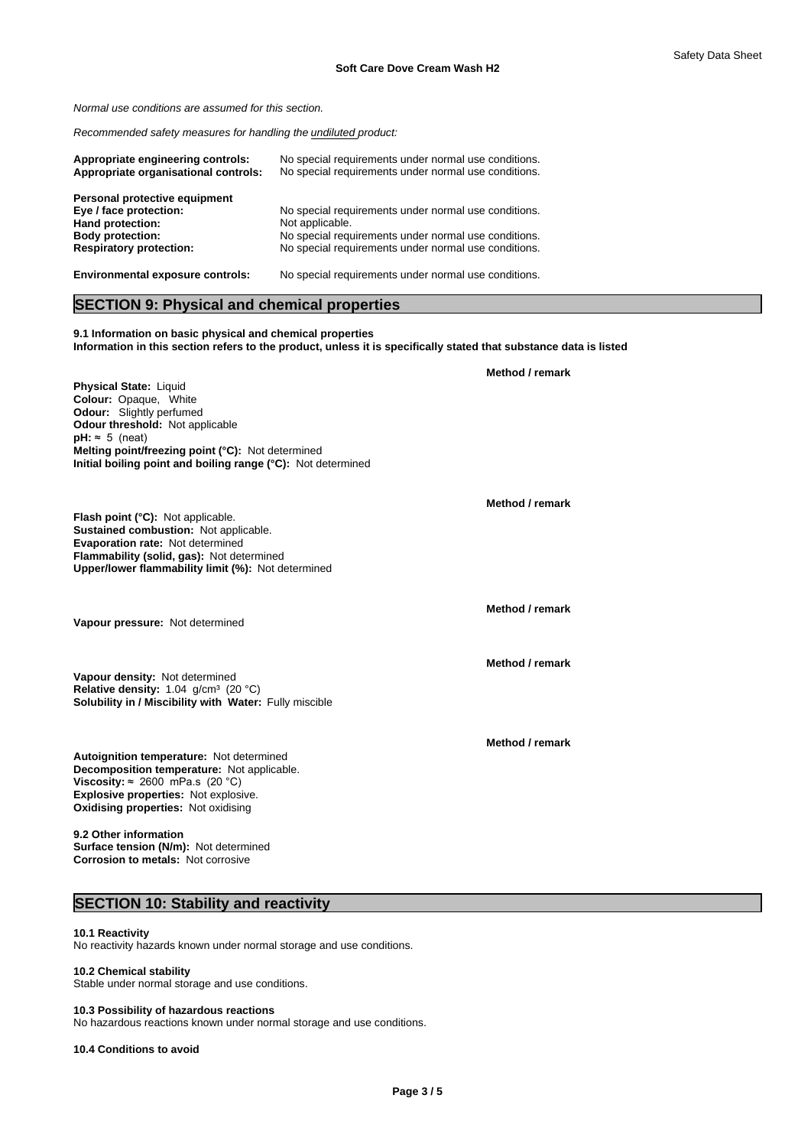*Normal use conditions are assumed for this section.*

*Recommended safety measures for handling the undiluted product:*

| Appropriate engineering controls:<br>Appropriate organisational controls: | No special requirements under normal use conditions.<br>No special requirements under normal use conditions. |
|---------------------------------------------------------------------------|--------------------------------------------------------------------------------------------------------------|
| Personal protective equipment                                             |                                                                                                              |
| Eye / face protection:                                                    | No special requirements under normal use conditions.                                                         |
| Hand protection:                                                          | Not applicable.                                                                                              |
| <b>Body protection:</b>                                                   | No special requirements under normal use conditions.                                                         |
| <b>Respiratory protection:</b>                                            | No special requirements under normal use conditions.                                                         |
| <b>Environmental exposure controls:</b>                                   | No special requirements under normal use conditions.                                                         |

# **SECTION 9: Physical and chemical properties**

**9.1 Information on basic physical and chemical properties Information in this section refers to the product, unless it is specifically stated that substance data is listed**

**Physical State: Liquid Colour:** Opaque, White **Odour:** Slightly perfumed **Odour threshold:** Not applicable  $pH: ~ 5$  (neat) **Melting point/freezing point (°C):** Not determined **Initial boiling point and boiling range (°C):** Not determined

**Flash point (°C):** Not applicable. **Sustained combustion:** Not applicable. **Evaporation rate:** Not determined **Flammability (solid, gas):** Not determined **Upper/lower flammability limit (%):** Not determined

**Vapour pressure:** Not determined

**Solubility in / Miscibility with Water:** Fully miscible **Vapour density:** Not determined Relative density: 1.04 g/cm<sup>3</sup> (20 °C)

**Decomposition temperature:** Not applicable. **Autoignition temperature:** Not determined **Viscosity:**  $\approx$  2600 mPa.s (20 °C) **Explosive properties:** Not explosive. **Oxidising properties:** Not oxidising

**9.2 Other information Surface tension (N/m):** Not determined **Corrosion to metals:** Not corrosive

# **SECTION 10: Stability and reactivity**

# **10.1 Reactivity**

No reactivity hazards known under normal storage and use conditions.

#### **10.2 Chemical stability**

Stable under normal storage and use conditions.

#### **10.3 Possibility of hazardous reactions**

No hazardous reactions known under normal storage and use conditions.

**10.4 Conditions to avoid**

**Method / remark**

**Method / remark**

**Method / remark**

**Method / remark**

**Method / remark**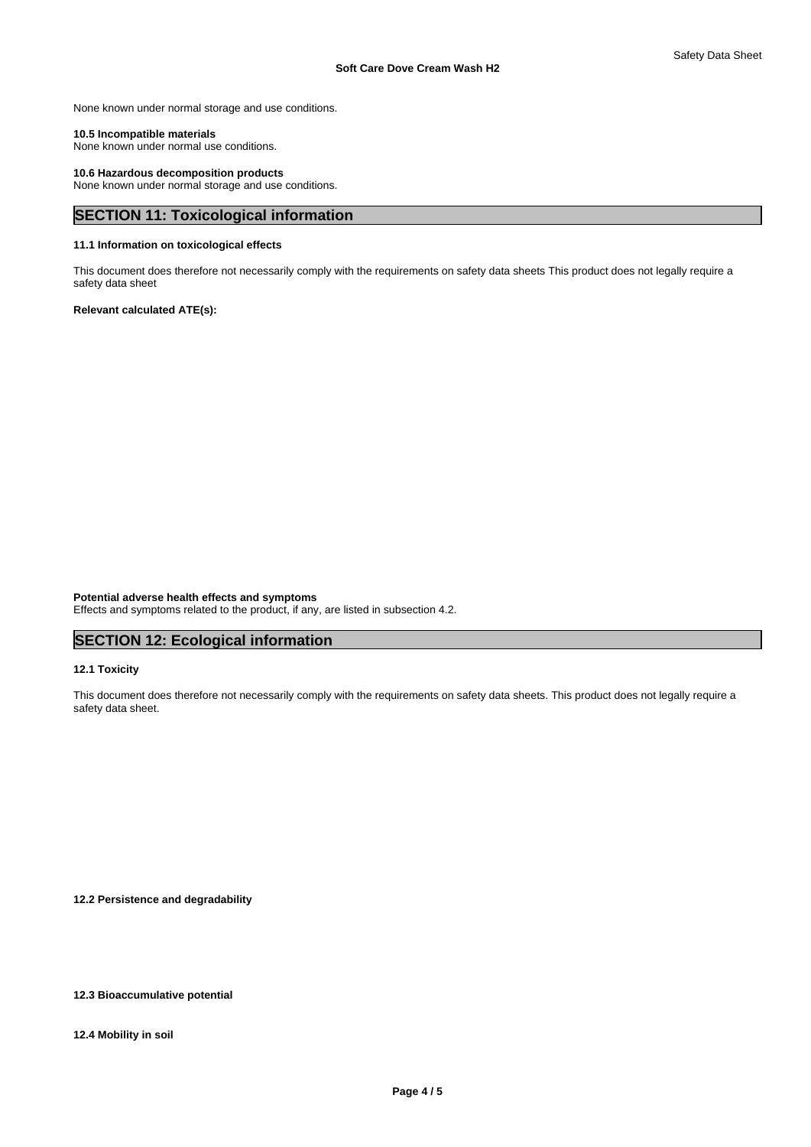None known under normal storage and use conditions.

#### **10.5 Incompatible materials**

None known under normal use conditions.

#### **10.6 Hazardous decomposition products**

None known under normal storage and use conditions.

# **SECTION 11: Toxicological information**

# **11.1 Information on toxicological effects**

This document does therefore not necessarily comply with the requirements on safety data sheets This product does not legally require a safety data sheet

#### **Relevant calculated ATE(s):**

**Potential adverse health effects and symptoms**

Effects and symptoms related to the product, if any, are listed in subsection 4.2.

# **SECTION 12: Ecological information**

### **12.1 Toxicity**

This document does therefore not necessarily comply with the requirements on safety data sheets. This product does not legally require a safety data sheet.

**12.2 Persistence and degradability**

# **12.3 Bioaccumulative potential**

**12.4 Mobility in soil**